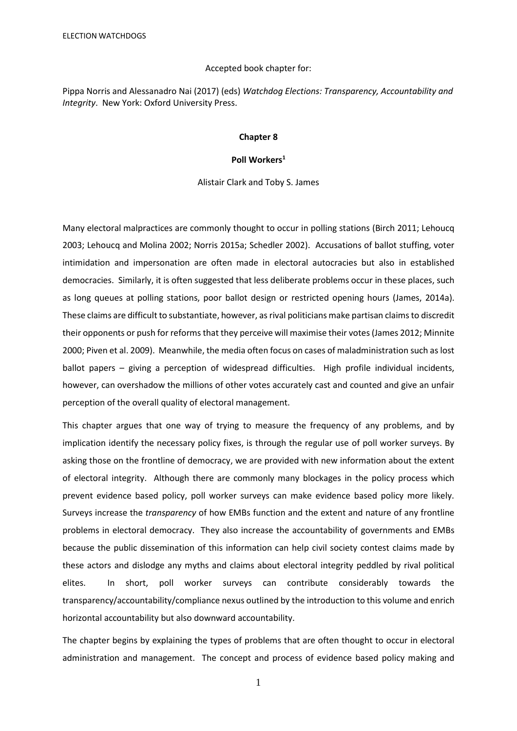#### Accepted book chapter for:

Pippa Norris and Alessanadro Nai (2017) (eds) *Watchdog Elections: Transparency, Accountability and Integrity*. New York: Oxford University Press.

#### **Chapter 8**

## **Poll Workers<sup>1</sup>**

Alistair Clark and Toby S. James

Many electoral malpractices are commonly thought to occur in polling stations (Birch 2011; Lehoucq 2003; Lehoucq and Molina 2002; Norris 2015a; Schedler 2002). Accusations of ballot stuffing, voter intimidation and impersonation are often made in electoral autocracies but also in established democracies. Similarly, it is often suggested that less deliberate problems occur in these places, such as long queues at polling stations, poor ballot design or restricted opening hours (James, 2014a). These claims are difficult to substantiate, however, as rival politicians make partisan claims to discredit their opponents or push for reforms that they perceive will maximise their votes(James 2012; Minnite 2000; Piven et al. 2009). Meanwhile, the media often focus on cases of maladministration such as lost ballot papers – giving a perception of widespread difficulties. High profile individual incidents, however, can overshadow the millions of other votes accurately cast and counted and give an unfair perception of the overall quality of electoral management.

This chapter argues that one way of trying to measure the frequency of any problems, and by implication identify the necessary policy fixes, is through the regular use of poll worker surveys. By asking those on the frontline of democracy, we are provided with new information about the extent of electoral integrity. Although there are commonly many blockages in the policy process which prevent evidence based policy, poll worker surveys can make evidence based policy more likely. Surveys increase the *transparency* of how EMBs function and the extent and nature of any frontline problems in electoral democracy. They also increase the accountability of governments and EMBs because the public dissemination of this information can help civil society contest claims made by these actors and dislodge any myths and claims about electoral integrity peddled by rival political elites. In short, poll worker surveys can contribute considerably towards the transparency/accountability/compliance nexus outlined by the introduction to this volume and enrich horizontal accountability but also downward accountability.

The chapter begins by explaining the types of problems that are often thought to occur in electoral administration and management. The concept and process of evidence based policy making and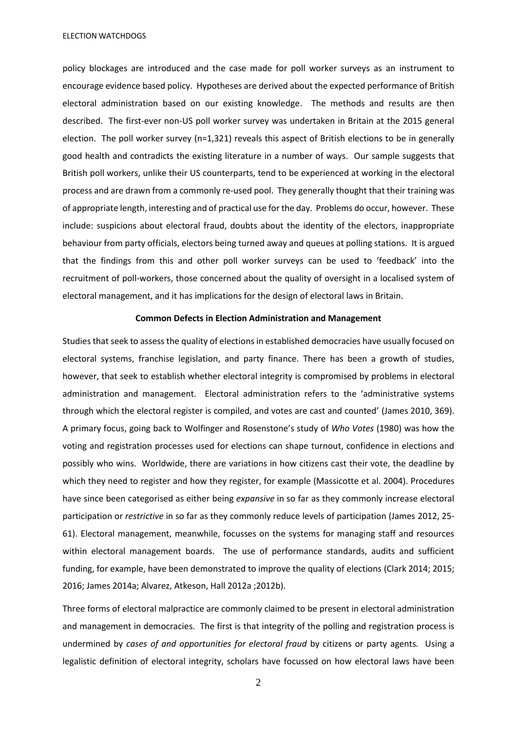policy blockages are introduced and the case made for poll worker surveys as an instrument to encourage evidence based policy. Hypotheses are derived about the expected performance of British electoral administration based on our existing knowledge. The methods and results are then described. The first-ever non-US poll worker survey was undertaken in Britain at the 2015 general election. The poll worker survey (n=1,321) reveals this aspect of British elections to be in generally good health and contradicts the existing literature in a number of ways. Our sample suggests that British poll workers, unlike their US counterparts, tend to be experienced at working in the electoral process and are drawn from a commonly re-used pool. They generally thought that their training was of appropriate length, interesting and of practical use for the day. Problems do occur, however. These include: suspicions about electoral fraud, doubts about the identity of the electors, inappropriate behaviour from party officials, electors being turned away and queues at polling stations. It is argued that the findings from this and other poll worker surveys can be used to 'feedback' into the recruitment of poll-workers, those concerned about the quality of oversight in a localised system of electoral management, and it has implications for the design of electoral laws in Britain.

## **Common Defects in Election Administration and Management**

Studies that seek to assess the quality of elections in established democracies have usually focused on electoral systems, franchise legislation, and party finance. There has been a growth of studies, however, that seek to establish whether electoral integrity is compromised by problems in electoral administration and management. Electoral administration refers to the 'administrative systems through which the electoral register is compiled, and votes are cast and counted' (James 2010, 369). A primary focus, going back to Wolfinger and Rosenstone's study of *Who Votes* (1980) was how the voting and registration processes used for elections can shape turnout, confidence in elections and possibly who wins. Worldwide, there are variations in how citizens cast their vote, the deadline by which they need to register and how they register, for example (Massicotte et al. 2004). Procedures have since been categorised as either being *expansive* in so far as they commonly increase electoral participation or *restrictive* in so far as they commonly reduce levels of participation (James 2012, 25- 61). Electoral management, meanwhile, focusses on the systems for managing staff and resources within electoral management boards. The use of performance standards, audits and sufficient funding, for example, have been demonstrated to improve the quality of elections (Clark 2014; 2015; 2016; James 2014a; Alvarez, Atkeson, Hall 2012a ;2012b).

Three forms of electoral malpractice are commonly claimed to be present in electoral administration and management in democracies. The first is that integrity of the polling and registration process is undermined by *cases of and opportunities for electoral fraud* by citizens or party agents*.* Using a legalistic definition of electoral integrity, scholars have focussed on how electoral laws have been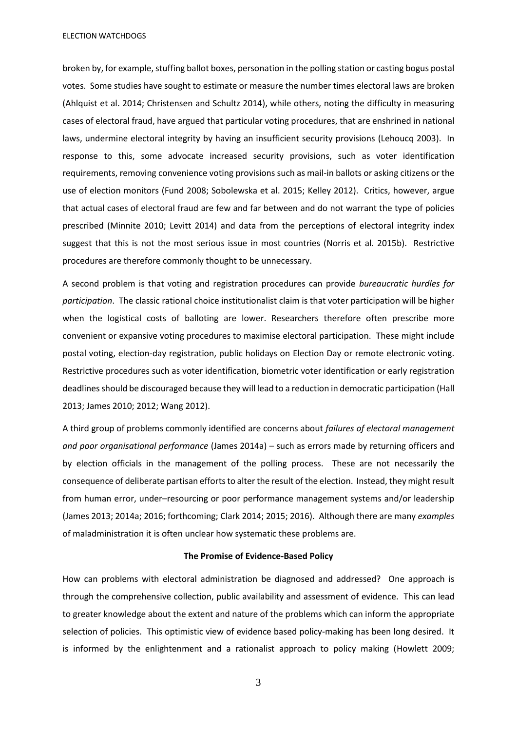broken by, for example, stuffing ballot boxes, personation in the polling station or casting bogus postal votes. Some studies have sought to estimate or measure the number times electoral laws are broken (Ahlquist et al. 2014; Christensen and Schultz 2014), while others, noting the difficulty in measuring cases of electoral fraud, have argued that particular voting procedures, that are enshrined in national laws, undermine electoral integrity by having an insufficient security provisions (Lehoucq 2003). In response to this, some advocate increased security provisions, such as voter identification requirements, removing convenience voting provisions such as mail-in ballots or asking citizens or the use of election monitors (Fund 2008; Sobolewska et al. 2015; Kelley 2012). Critics, however, argue that actual cases of electoral fraud are few and far between and do not warrant the type of policies prescribed (Minnite 2010; Levitt 2014) and data from the perceptions of electoral integrity index suggest that this is not the most serious issue in most countries (Norris et al. 2015b). Restrictive procedures are therefore commonly thought to be unnecessary.

A second problem is that voting and registration procedures can provide *bureaucratic hurdles for participation*. The classic rational choice institutionalist claim is that voter participation will be higher when the logistical costs of balloting are lower. Researchers therefore often prescribe more convenient or expansive voting procedures to maximise electoral participation. These might include postal voting, election-day registration, public holidays on Election Day or remote electronic voting. Restrictive procedures such as voter identification, biometric voter identification or early registration deadlines should be discouraged because they will lead to a reduction in democratic participation (Hall 2013; James 2010; 2012; Wang 2012).

A third group of problems commonly identified are concerns about *failures of electoral management and poor organisational performance* (James 2014a) – such as errors made by returning officers and by election officials in the management of the polling process. These are not necessarily the consequence of deliberate partisan efforts to alter the result of the election. Instead, they might result from human error, under–resourcing or poor performance management systems and/or leadership (James 2013; 2014a; 2016; forthcoming; Clark 2014; 2015; 2016). Although there are many *examples* of maladministration it is often unclear how systematic these problems are.

## **The Promise of Evidence-Based Policy**

How can problems with electoral administration be diagnosed and addressed? One approach is through the comprehensive collection, public availability and assessment of evidence. This can lead to greater knowledge about the extent and nature of the problems which can inform the appropriate selection of policies. This optimistic view of evidence based policy-making has been long desired. It is informed by the enlightenment and a rationalist approach to policy making (Howlett 2009;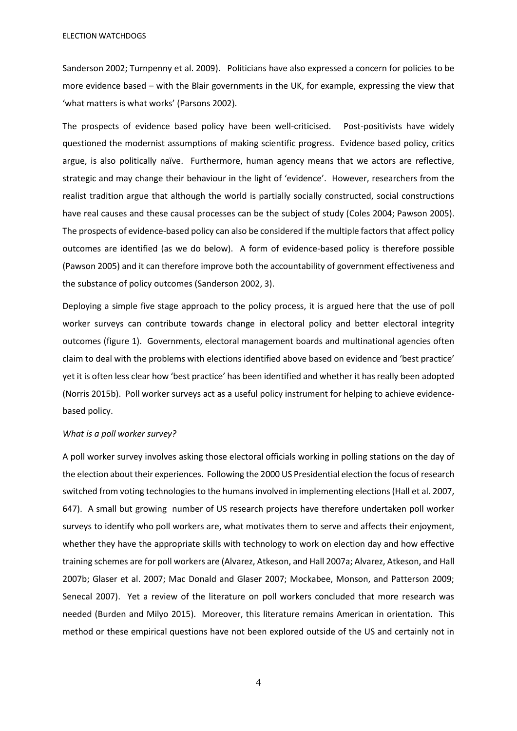Sanderson 2002; Turnpenny et al. 2009). Politicians have also expressed a concern for policies to be more evidence based – with the Blair governments in the UK, for example, expressing the view that 'what matters is what works' (Parsons 2002).

The prospects of evidence based policy have been well-criticised. Post-positivists have widely questioned the modernist assumptions of making scientific progress. Evidence based policy, critics argue, is also politically naïve. Furthermore, human agency means that we actors are reflective, strategic and may change their behaviour in the light of 'evidence'. However, researchers from the realist tradition argue that although the world is partially socially constructed, social constructions have real causes and these causal processes can be the subject of study (Coles 2004; Pawson 2005). The prospects of evidence-based policy can also be considered if the multiple factors that affect policy outcomes are identified (as we do below). A form of evidence-based policy is therefore possible (Pawson 2005) and it can therefore improve both the accountability of government effectiveness and the substance of policy outcomes (Sanderson 2002, 3).

Deploying a simple five stage approach to the policy process, it is argued here that the use of poll worker surveys can contribute towards change in electoral policy and better electoral integrity outcomes (figure 1). Governments, electoral management boards and multinational agencies often claim to deal with the problems with elections identified above based on evidence and 'best practice' yet it is often less clear how 'best practice' has been identified and whether it has really been adopted (Norris 2015b). Poll worker surveys act as a useful policy instrument for helping to achieve evidencebased policy.

#### *What is a poll worker survey?*

A poll worker survey involves asking those electoral officials working in polling stations on the day of the election about their experiences. Following the 2000 US Presidential election the focus of research switched from voting technologies to the humans involved in implementing elections (Hall et al. 2007, 647). A small but growing number of US research projects have therefore undertaken poll worker surveys to identify who poll workers are, what motivates them to serve and affects their enjoyment, whether they have the appropriate skills with technology to work on election day and how effective training schemes are for poll workers are (Alvarez, Atkeson, and Hall 2007a; Alvarez, Atkeson, and Hall 2007b; Glaser et al. 2007; Mac Donald and Glaser 2007; Mockabee, Monson, and Patterson 2009; Senecal 2007). Yet a review of the literature on poll workers concluded that more research was needed (Burden and Milyo 2015). Moreover, this literature remains American in orientation. This method or these empirical questions have not been explored outside of the US and certainly not in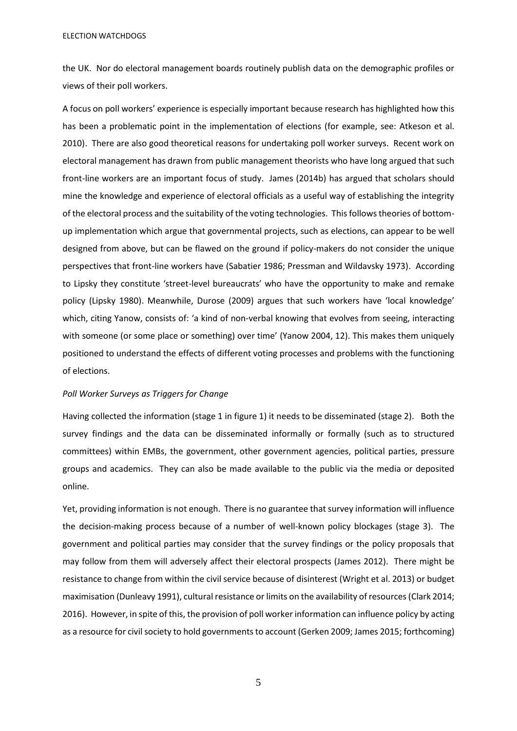the UK. Nor do electoral management boards routinely publish data on the demographic profiles or views of their poll workers.

A focus on poll workers' experience is especially important because research has highlighted how this has been a problematic point in the implementation of elections (for example, see: Atkeson et al. 2010). There are also good theoretical reasons for undertaking poll worker surveys. Recent work on electoral management has drawn from public management theorists who have long argued that such front-line workers are an important focus of study. James (2014b) has argued that scholars should mine the knowledge and experience of electoral officials as a useful way of establishing the integrity of the electoral process and the suitability of the voting technologies. This follows theories of bottomup implementation which argue that governmental projects, such as elections, can appear to be well designed from above, but can be flawed on the ground if policy-makers do not consider the unique perspectives that front-line workers have (Sabatier 1986; Pressman and Wildavsky 1973). According to Lipsky they constitute 'street-level bureaucrats' who have the opportunity to make and remake policy (Lipsky 1980). Meanwhile, Durose (2009) argues that such workers have 'local knowledge' which, citing Yanow, consists of: 'a kind of non-verbal knowing that evolves from seeing, interacting with someone (or some place or something) over time' (Yanow 2004, 12). This makes them uniquely positioned to understand the effects of different voting processes and problems with the functioning of elections.

## *Poll Worker Surveys as Triggers for Change*

Having collected the information (stage 1 in figure 1) it needs to be disseminated (stage 2). Both the survey findings and the data can be disseminated informally or formally (such as to structured committees) within EMBs, the government, other government agencies, political parties, pressure groups and academics. They can also be made available to the public via the media or deposited online.

Yet, providing information is not enough. There is no guarantee that survey information will influence the decision-making process because of a number of well-known policy blockages (stage 3). The government and political parties may consider that the survey findings or the policy proposals that may follow from them will adversely affect their electoral prospects (James 2012). There might be resistance to change from within the civil service because of disinterest (Wright et al. 2013) or budget maximisation (Dunleavy 1991), cultural resistance or limits on the availability of resources (Clark 2014; 2016).However, in spite of this, the provision of poll worker information can influence policy by acting as a resource for civil society to hold governments to account (Gerken 2009; James 2015; forthcoming)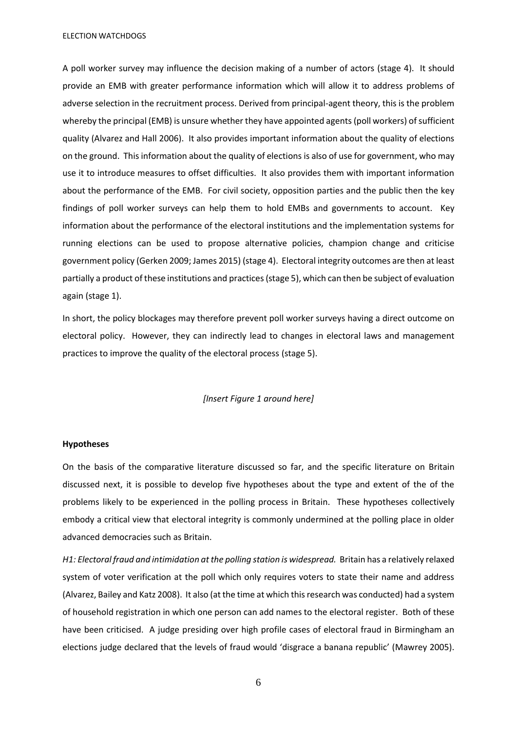A poll worker survey may influence the decision making of a number of actors (stage 4). It should provide an EMB with greater performance information which will allow it to address problems of adverse selection in the recruitment process. Derived from principal-agent theory, this is the problem whereby the principal (EMB) is unsure whether they have appointed agents (poll workers) of sufficient quality (Alvarez and Hall 2006). It also provides important information about the quality of elections on the ground. This information about the quality of elections is also of use for government, who may use it to introduce measures to offset difficulties. It also provides them with important information about the performance of the EMB. For civil society, opposition parties and the public then the key findings of poll worker surveys can help them to hold EMBs and governments to account. Key information about the performance of the electoral institutions and the implementation systems for running elections can be used to propose alternative policies, champion change and criticise government policy (Gerken 2009; James 2015) (stage 4). Electoral integrity outcomes are then at least partially a product of these institutions and practices(stage 5), which can then be subject of evaluation again (stage 1).

In short, the policy blockages may therefore prevent poll worker surveys having a direct outcome on electoral policy. However, they can indirectly lead to changes in electoral laws and management practices to improve the quality of the electoral process (stage 5).

### *[Insert Figure 1 around here]*

### **Hypotheses**

On the basis of the comparative literature discussed so far, and the specific literature on Britain discussed next, it is possible to develop five hypotheses about the type and extent of the of the problems likely to be experienced in the polling process in Britain. These hypotheses collectively embody a critical view that electoral integrity is commonly undermined at the polling place in older advanced democracies such as Britain.

*H1: Electoral fraud and intimidation at the polling station is widespread.* Britain has a relatively relaxed system of voter verification at the poll which only requires voters to state their name and address (Alvarez, Bailey and Katz 2008). It also (at the time at which this research was conducted) had a system of household registration in which one person can add names to the electoral register. Both of these have been criticised. A judge presiding over high profile cases of electoral fraud in Birmingham an elections judge declared that the levels of fraud would 'disgrace a banana republic' (Mawrey 2005).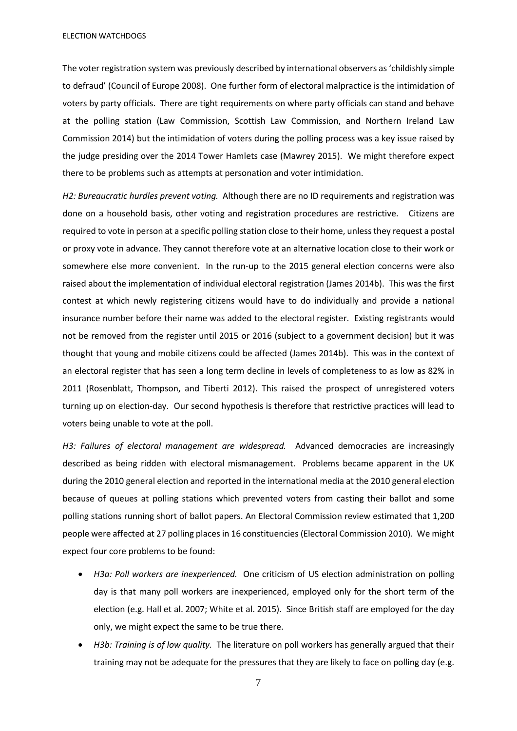The voter registration system was previously described by international observers as 'childishly simple to defraud' (Council of Europe 2008). One further form of electoral malpractice is the intimidation of voters by party officials. There are tight requirements on where party officials can stand and behave at the polling station (Law Commission, Scottish Law Commission, and Northern Ireland Law Commission 2014) but the intimidation of voters during the polling process was a key issue raised by the judge presiding over the 2014 Tower Hamlets case (Mawrey 2015). We might therefore expect there to be problems such as attempts at personation and voter intimidation.

*H2: Bureaucratic hurdles prevent voting.*Although there are no ID requirements and registration was done on a household basis, other voting and registration procedures are restrictive*.* Citizens are required to vote in person at a specific polling station close to their home, unless they request a postal or proxy vote in advance. They cannot therefore vote at an alternative location close to their work or somewhere else more convenient. In the run-up to the 2015 general election concerns were also raised about the implementation of individual electoral registration (James 2014b). This was the first contest at which newly registering citizens would have to do individually and provide a national insurance number before their name was added to the electoral register. Existing registrants would not be removed from the register until 2015 or 2016 (subject to a government decision) but it was thought that young and mobile citizens could be affected (James 2014b). This was in the context of an electoral register that has seen a long term decline in levels of completeness to as low as 82% in 2011 (Rosenblatt, Thompson, and Tiberti 2012). This raised the prospect of unregistered voters turning up on election-day. Our second hypothesis is therefore that restrictive practices will lead to voters being unable to vote at the poll.

*H3: Failures of electoral management are widespread.*Advanced democracies are increasingly described as being ridden with electoral mismanagement. Problems became apparent in the UK during the 2010 general election and reported in the international media at the 2010 general election because of queues at polling stations which prevented voters from casting their ballot and some polling stations running short of ballot papers. An Electoral Commission review estimated that 1,200 people were affected at 27 polling places in 16 constituencies (Electoral Commission 2010). We might expect four core problems to be found:

- *H3a: Poll workers are inexperienced.* One criticism of US election administration on polling day is that many poll workers are inexperienced, employed only for the short term of the election (e.g. Hall et al. 2007; White et al. 2015). Since British staff are employed for the day only, we might expect the same to be true there.
- *H3b: Training is of low quality.* The literature on poll workers has generally argued that their training may not be adequate for the pressures that they are likely to face on polling day (e.g.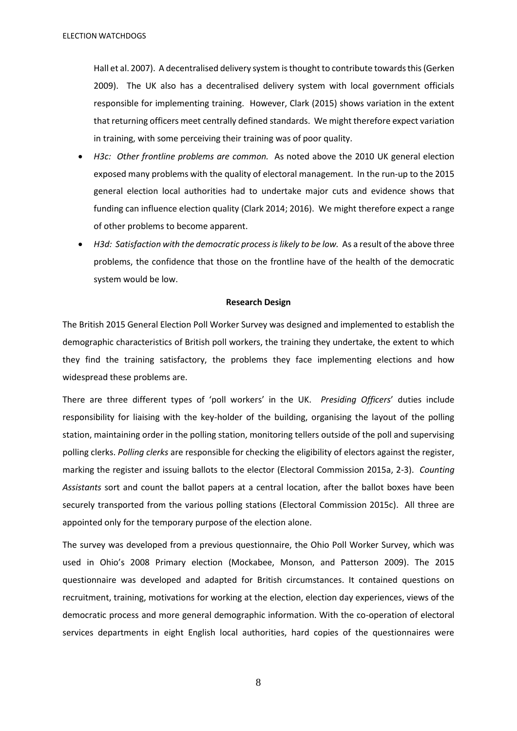Hall et al. 2007). A decentralised delivery system is thought to contribute towards this (Gerken 2009). The UK also has a decentralised delivery system with local government officials responsible for implementing training. However, Clark (2015) shows variation in the extent that returning officers meet centrally defined standards. We might therefore expect variation in training, with some perceiving their training was of poor quality.

- *H3c: Other frontline problems are common.* As noted above the 2010 UK general election exposed many problems with the quality of electoral management. In the run-up to the 2015 general election local authorities had to undertake major cuts and evidence shows that funding can influence election quality (Clark 2014; 2016). We might therefore expect a range of other problems to become apparent.
- *H3d: Satisfaction with the democratic process is likely to be low.* As a result of the above three problems, the confidence that those on the frontline have of the health of the democratic system would be low.

### **Research Design**

The British 2015 General Election Poll Worker Survey was designed and implemented to establish the demographic characteristics of British poll workers, the training they undertake, the extent to which they find the training satisfactory, the problems they face implementing elections and how widespread these problems are.

There are three different types of 'poll workers' in the UK. *Presiding Officers*' duties include responsibility for liaising with the key-holder of the building, organising the layout of the polling station, maintaining order in the polling station, monitoring tellers outside of the poll and supervising polling clerks. *Polling clerks* are responsible for checking the eligibility of electors against the register, marking the register and issuing ballots to the elector (Electoral Commission 2015a, 2-3). *Counting Assistants* sort and count the ballot papers at a central location, after the ballot boxes have been securely transported from the various polling stations (Electoral Commission 2015c). All three are appointed only for the temporary purpose of the election alone.

The survey was developed from a previous questionnaire, the Ohio Poll Worker Survey, which was used in Ohio's 2008 Primary election (Mockabee, Monson, and Patterson 2009). The 2015 questionnaire was developed and adapted for British circumstances. It contained questions on recruitment, training, motivations for working at the election, election day experiences, views of the democratic process and more general demographic information. With the co-operation of electoral services departments in eight English local authorities, hard copies of the questionnaires were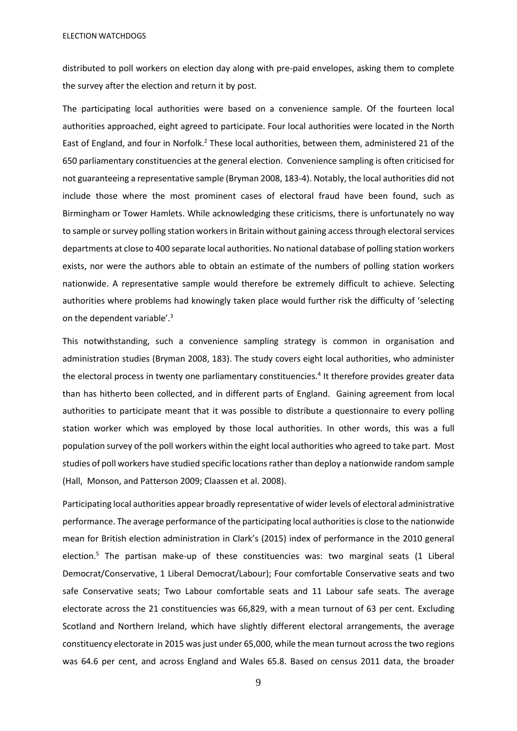distributed to poll workers on election day along with pre-paid envelopes, asking them to complete the survey after the election and return it by post.

The participating local authorities were based on a convenience sample. Of the fourteen local authorities approached, eight agreed to participate. Four local authorities were located in the North East of England, and four in Norfolk.<sup>2</sup> These local authorities, between them, administered 21 of the 650 parliamentary constituencies at the general election. Convenience sampling is often criticised for not guaranteeing a representative sample (Bryman 2008, 183-4). Notably, the local authorities did not include those where the most prominent cases of electoral fraud have been found, such as Birmingham or Tower Hamlets. While acknowledging these criticisms, there is unfortunately no way to sample or survey polling station workers in Britain without gaining access through electoral services departments at close to 400 separate local authorities. No national database of polling station workers exists, nor were the authors able to obtain an estimate of the numbers of polling station workers nationwide. A representative sample would therefore be extremely difficult to achieve. Selecting authorities where problems had knowingly taken place would further risk the difficulty of 'selecting on the dependent variable'.<sup>3</sup>

This notwithstanding, such a convenience sampling strategy is common in organisation and administration studies (Bryman 2008, 183). The study covers eight local authorities, who administer the electoral process in twenty one parliamentary constituencies.<sup>4</sup> It therefore provides greater data than has hitherto been collected, and in different parts of England. Gaining agreement from local authorities to participate meant that it was possible to distribute a questionnaire to every polling station worker which was employed by those local authorities. In other words, this was a full population survey of the poll workers within the eight local authorities who agreed to take part. Most studies of poll workers have studied specific locations rather than deploy a nationwide random sample (Hall, Monson, and Patterson 2009; Claassen et al. 2008).

Participating local authorities appear broadly representative of wider levels of electoral administrative performance. The average performance of the participating local authorities is close to the nationwide mean for British election administration in Clark's (2015) index of performance in the 2010 general election.<sup>5</sup> The partisan make-up of these constituencies was: two marginal seats (1 Liberal Democrat/Conservative, 1 Liberal Democrat/Labour); Four comfortable Conservative seats and two safe Conservative seats; Two Labour comfortable seats and 11 Labour safe seats. The average electorate across the 21 constituencies was 66,829, with a mean turnout of 63 per cent. Excluding Scotland and Northern Ireland, which have slightly different electoral arrangements, the average constituency electorate in 2015 was just under 65,000, while the mean turnout acrossthe two regions was 64.6 per cent, and across England and Wales 65.8. Based on census 2011 data, the broader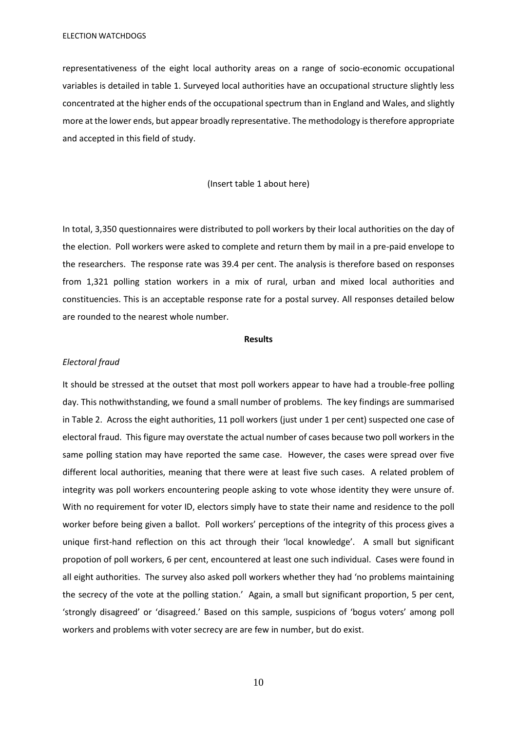representativeness of the eight local authority areas on a range of socio-economic occupational variables is detailed in table 1. Surveyed local authorities have an occupational structure slightly less concentrated at the higher ends of the occupational spectrum than in England and Wales, and slightly more at the lower ends, but appear broadly representative. The methodology is therefore appropriate and accepted in this field of study.

#### (Insert table 1 about here)

In total, 3,350 questionnaires were distributed to poll workers by their local authorities on the day of the election. Poll workers were asked to complete and return them by mail in a pre-paid envelope to the researchers. The response rate was 39.4 per cent. The analysis is therefore based on responses from 1,321 polling station workers in a mix of rural, urban and mixed local authorities and constituencies. This is an acceptable response rate for a postal survey. All responses detailed below are rounded to the nearest whole number.

### **Results**

#### *Electoral fraud*

It should be stressed at the outset that most poll workers appear to have had a trouble-free polling day. This nothwithstanding, we found a small number of problems. The key findings are summarised in Table 2. Across the eight authorities, 11 poll workers (just under 1 per cent) suspected one case of electoral fraud. This figure may overstate the actual number of cases because two poll workers in the same polling station may have reported the same case. However, the cases were spread over five different local authorities, meaning that there were at least five such cases. A related problem of integrity was poll workers encountering people asking to vote whose identity they were unsure of. With no requirement for voter ID, electors simply have to state their name and residence to the poll worker before being given a ballot. Poll workers' perceptions of the integrity of this process gives a unique first-hand reflection on this act through their 'local knowledge'. A small but significant propotion of poll workers, 6 per cent, encountered at least one such individual. Cases were found in all eight authorities. The survey also asked poll workers whether they had 'no problems maintaining the secrecy of the vote at the polling station.' Again, a small but significant proportion, 5 per cent, 'strongly disagreed' or 'disagreed.' Based on this sample, suspicions of 'bogus voters' among poll workers and problems with voter secrecy are are few in number, but do exist.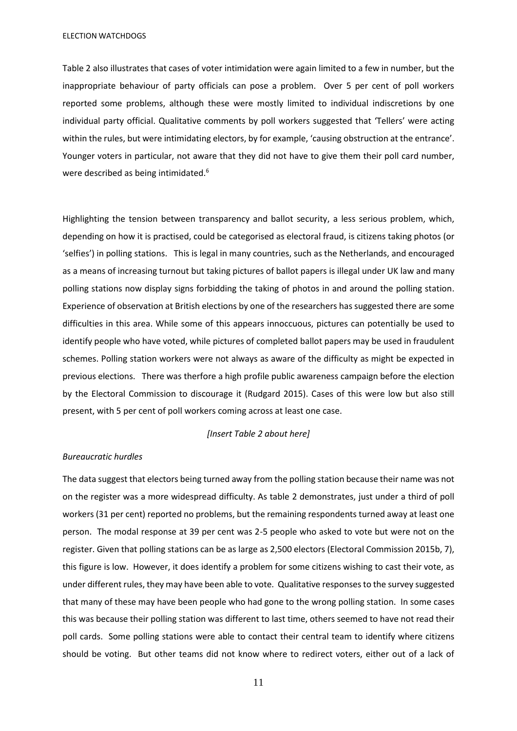Table 2 also illustrates that cases of voter intimidation were again limited to a few in number, but the inappropriate behaviour of party officials can pose a problem. Over 5 per cent of poll workers reported some problems, although these were mostly limited to individual indiscretions by one individual party official. Qualitative comments by poll workers suggested that 'Tellers' were acting within the rules, but were intimidating electors, by for example, 'causing obstruction at the entrance'. Younger voters in particular, not aware that they did not have to give them their poll card number, were described as being intimidated.<sup>6</sup>

Highlighting the tension between transparency and ballot security, a less serious problem, which, depending on how it is practised, could be categorised as electoral fraud, is citizens taking photos (or 'selfies') in polling stations. This is legal in many countries, such as the Netherlands, and encouraged as a means of increasing turnout but taking pictures of ballot papers is illegal under UK law and many polling stations now display signs forbidding the taking of photos in and around the polling station. Experience of observation at British elections by one of the researchers has suggested there are some difficulties in this area. While some of this appears innoccuous, pictures can potentially be used to identify people who have voted, while pictures of completed ballot papers may be used in fraudulent schemes. Polling station workers were not always as aware of the difficulty as might be expected in previous elections. There was therfore a high profile public awareness campaign before the election by the Electoral Commission to discourage it (Rudgard 2015). Cases of this were low but also still present, with 5 per cent of poll workers coming across at least one case.

## *[Insert Table 2 about here]*

#### *Bureaucratic hurdles*

The data suggest that electors being turned away from the polling station because their name was not on the register was a more widespread difficulty. As table 2 demonstrates, just under a third of poll workers (31 per cent) reported no problems, but the remaining respondents turned away at least one person. The modal response at 39 per cent was 2-5 people who asked to vote but were not on the register. Given that polling stations can be as large as 2,500 electors (Electoral Commission 2015b, 7), this figure is low. However, it does identify a problem for some citizens wishing to cast their vote, as under different rules, they may have been able to vote. Qualitative responses to the survey suggested that many of these may have been people who had gone to the wrong polling station. In some cases this was because their polling station was different to last time, others seemed to have not read their poll cards. Some polling stations were able to contact their central team to identify where citizens should be voting. But other teams did not know where to redirect voters, either out of a lack of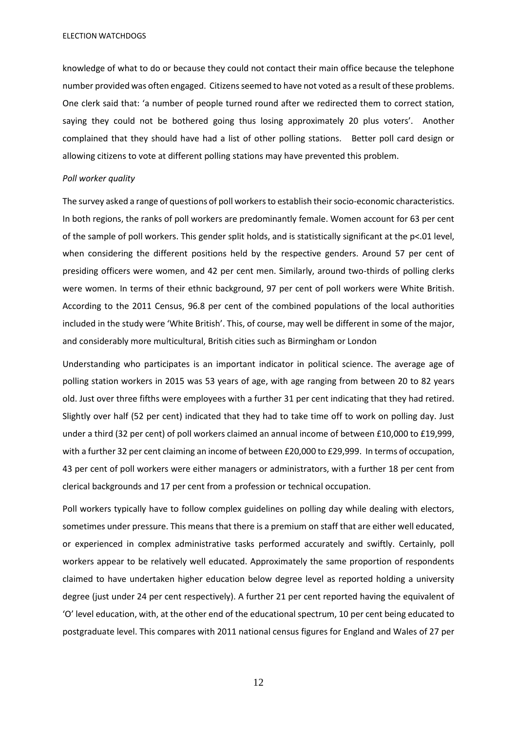knowledge of what to do or because they could not contact their main office because the telephone number provided was often engaged. Citizens seemed to have not voted as a result of these problems. One clerk said that: 'a number of people turned round after we redirected them to correct station, saying they could not be bothered going thus losing approximately 20 plus voters'. Another complained that they should have had a list of other polling stations. Better poll card design or allowing citizens to vote at different polling stations may have prevented this problem.

#### *Poll worker quality*

The survey asked a range of questions of poll workers to establish their socio-economic characteristics. In both regions, the ranks of poll workers are predominantly female. Women account for 63 per cent of the sample of poll workers. This gender split holds, and is statistically significant at the p<.01 level, when considering the different positions held by the respective genders. Around 57 per cent of presiding officers were women, and 42 per cent men. Similarly, around two-thirds of polling clerks were women. In terms of their ethnic background, 97 per cent of poll workers were White British. According to the 2011 Census, 96.8 per cent of the combined populations of the local authorities included in the study were 'White British'. This, of course, may well be different in some of the major, and considerably more multicultural, British cities such as Birmingham or London

Understanding who participates is an important indicator in political science. The average age of polling station workers in 2015 was 53 years of age, with age ranging from between 20 to 82 years old. Just over three fifths were employees with a further 31 per cent indicating that they had retired. Slightly over half (52 per cent) indicated that they had to take time off to work on polling day. Just under a third (32 per cent) of poll workers claimed an annual income of between £10,000 to £19,999, with a further 32 per cent claiming an income of between £20,000 to £29,999. In terms of occupation, 43 per cent of poll workers were either managers or administrators, with a further 18 per cent from clerical backgrounds and 17 per cent from a profession or technical occupation.

Poll workers typically have to follow complex guidelines on polling day while dealing with electors, sometimes under pressure. This means that there is a premium on staff that are either well educated, or experienced in complex administrative tasks performed accurately and swiftly. Certainly, poll workers appear to be relatively well educated. Approximately the same proportion of respondents claimed to have undertaken higher education below degree level as reported holding a university degree (just under 24 per cent respectively). A further 21 per cent reported having the equivalent of 'O' level education, with, at the other end of the educational spectrum, 10 per cent being educated to postgraduate level. This compares with 2011 national census figures for England and Wales of 27 per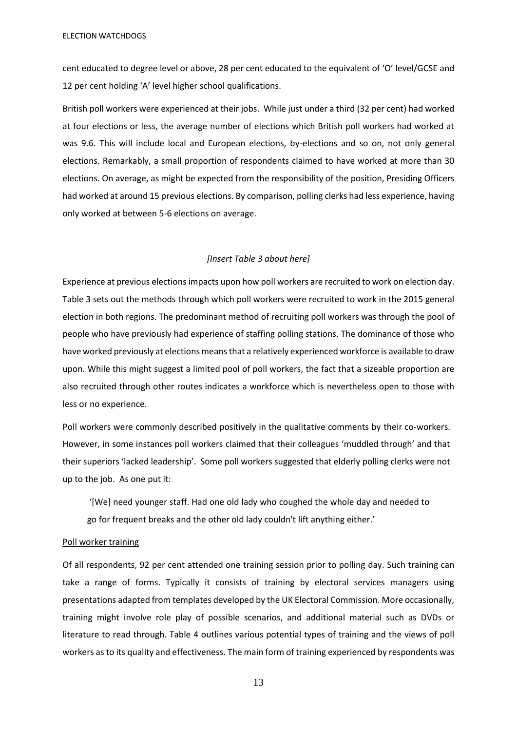cent educated to degree level or above, 28 per cent educated to the equivalent of 'O' level/GCSE and 12 per cent holding 'A' level higher school qualifications.

British poll workers were experienced at their jobs. While just under a third (32 per cent) had worked at four elections or less, the average number of elections which British poll workers had worked at was 9.6. This will include local and European elections, by-elections and so on, not only general elections. Remarkably, a small proportion of respondents claimed to have worked at more than 30 elections. On average, as might be expected from the responsibility of the position, Presiding Officers had worked at around 15 previous elections. By comparison, polling clerks had less experience, having only worked at between 5-6 elections on average.

### *[Insert Table 3 about here]*

Experience at previous elections impacts upon how poll workers are recruited to work on election day. Table 3 sets out the methods through which poll workers were recruited to work in the 2015 general election in both regions. The predominant method of recruiting poll workers was through the pool of people who have previously had experience of staffing polling stations. The dominance of those who have worked previously at elections means that a relatively experienced workforce is available to draw upon. While this might suggest a limited pool of poll workers, the fact that a sizeable proportion are also recruited through other routes indicates a workforce which is nevertheless open to those with less or no experience.

Poll workers were commonly described positively in the qualitative comments by their co-workers. However, in some instances poll workers claimed that their colleagues 'muddled through' and that their superiors 'lacked leadership'. Some poll workers suggested that elderly polling clerks were not up to the job. As one put it:

'[We] need younger staff. Had one old lady who coughed the whole day and needed to go for frequent breaks and the other old lady couldn't lift anything either.'

#### Poll worker training

Of all respondents, 92 per cent attended one training session prior to polling day. Such training can take a range of forms. Typically it consists of training by electoral services managers using presentations adapted from templates developed by the UK Electoral Commission. More occasionally, training might involve role play of possible scenarios, and additional material such as DVDs or literature to read through. Table 4 outlines various potential types of training and the views of poll workers as to its quality and effectiveness. The main form of training experienced by respondents was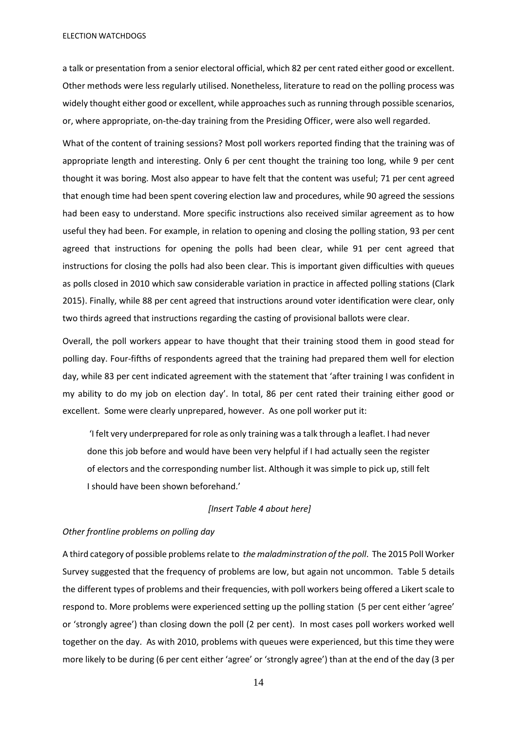a talk or presentation from a senior electoral official, which 82 per cent rated either good or excellent. Other methods were less regularly utilised. Nonetheless, literature to read on the polling process was widely thought either good or excellent, while approaches such as running through possible scenarios, or, where appropriate, on-the-day training from the Presiding Officer, were also well regarded.

What of the content of training sessions? Most poll workers reported finding that the training was of appropriate length and interesting. Only 6 per cent thought the training too long, while 9 per cent thought it was boring. Most also appear to have felt that the content was useful; 71 per cent agreed that enough time had been spent covering election law and procedures, while 90 agreed the sessions had been easy to understand. More specific instructions also received similar agreement as to how useful they had been. For example, in relation to opening and closing the polling station, 93 per cent agreed that instructions for opening the polls had been clear, while 91 per cent agreed that instructions for closing the polls had also been clear. This is important given difficulties with queues as polls closed in 2010 which saw considerable variation in practice in affected polling stations (Clark 2015). Finally, while 88 per cent agreed that instructions around voter identification were clear, only two thirds agreed that instructions regarding the casting of provisional ballots were clear.

Overall, the poll workers appear to have thought that their training stood them in good stead for polling day. Four-fifths of respondents agreed that the training had prepared them well for election day, while 83 per cent indicated agreement with the statement that 'after training I was confident in my ability to do my job on election day'. In total, 86 per cent rated their training either good or excellent. Some were clearly unprepared, however. As one poll worker put it:

'I felt very underprepared for role as only training was a talk through a leaflet. I had never done this job before and would have been very helpful if I had actually seen the register of electors and the corresponding number list. Although it was simple to pick up, still felt I should have been shown beforehand.'

## *[Insert Table 4 about here]*

## *Other frontline problems on polling day*

A third category of possible problems relate to *the maladminstration of the poll*. The 2015 Poll Worker Survey suggested that the frequency of problems are low, but again not uncommon. Table 5 details the different types of problems and their frequencies, with poll workers being offered a Likert scale to respond to. More problems were experienced setting up the polling station (5 per cent either 'agree' or 'strongly agree') than closing down the poll (2 per cent). In most cases poll workers worked well together on the day. As with 2010, problems with queues were experienced, but this time they were more likely to be during (6 per cent either 'agree' or 'strongly agree') than at the end of the day (3 per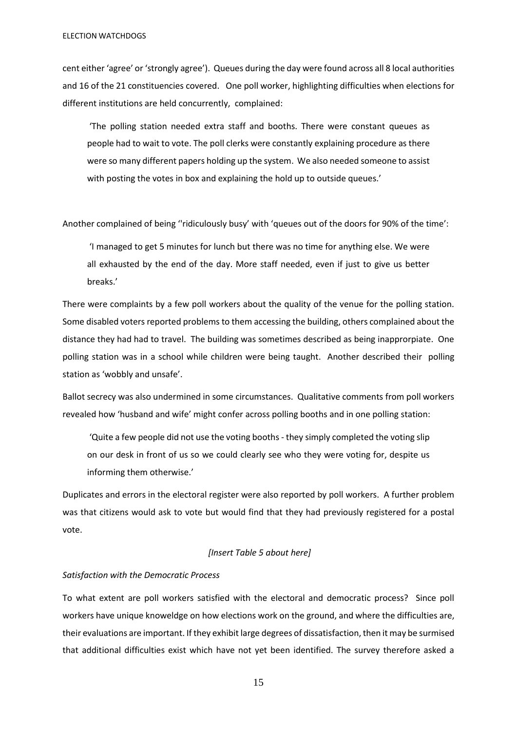cent either 'agree' or 'strongly agree'). Queues during the day were found across all 8 local authorities and 16 of the 21 constituencies covered. One poll worker, highlighting difficulties when elections for different institutions are held concurrently, complained:

'The polling station needed extra staff and booths. There were constant queues as people had to wait to vote. The poll clerks were constantly explaining procedure as there were so many different papers holding up the system. We also needed someone to assist with posting the votes in box and explaining the hold up to outside queues.'

Another complained of being ''ridiculously busy' with 'queues out of the doors for 90% of the time':

'I managed to get 5 minutes for lunch but there was no time for anything else. We were all exhausted by the end of the day. More staff needed, even if just to give us better breaks.'

There were complaints by a few poll workers about the quality of the venue for the polling station. Some disabled voters reported problems to them accessing the building, others complained about the distance they had had to travel. The building was sometimes described as being inapprorpiate. One polling station was in a school while children were being taught. Another described their polling station as 'wobbly and unsafe'.

Ballot secrecy was also undermined in some circumstances. Qualitative comments from poll workers revealed how 'husband and wife' might confer across polling booths and in one polling station:

'Quite a few people did not use the voting booths - they simply completed the voting slip on our desk in front of us so we could clearly see who they were voting for, despite us informing them otherwise.'

Duplicates and errors in the electoral register were also reported by poll workers. A further problem was that citizens would ask to vote but would find that they had previously registered for a postal vote.

#### *[Insert Table 5 about here]*

## *Satisfaction with the Democratic Process*

To what extent are poll workers satisfied with the electoral and democratic process? Since poll workers have unique knoweldge on how elections work on the ground, and where the difficulties are, their evaluations are important. If they exhibit large degrees of dissatisfaction, then it may be surmised that additional difficulties exist which have not yet been identified. The survey therefore asked a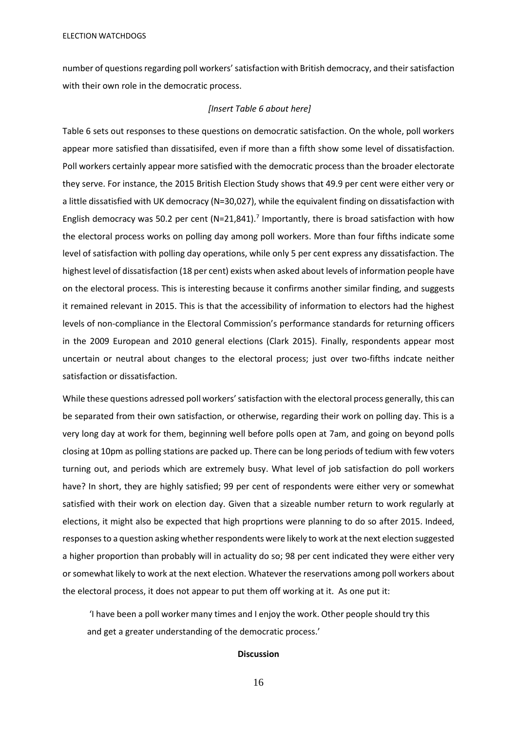number of questions regarding poll workers'satisfaction with British democracy, and their satisfaction with their own role in the democratic process.

### *[Insert Table 6 about here]*

Table 6 sets out responses to these questions on democratic satisfaction. On the whole, poll workers appear more satisfied than dissatisifed, even if more than a fifth show some level of dissatisfaction. Poll workers certainly appear more satisfied with the democratic process than the broader electorate they serve. For instance, the 2015 British Election Study shows that 49.9 per cent were either very or a little dissatisfied with UK democracy (N=30,027), while the equivalent finding on dissatisfaction with English democracy was 50.2 per cent (N=21,841).<sup>7</sup> Importantly, there is broad satisfaction with how the electoral process works on polling day among poll workers. More than four fifths indicate some level of satisfaction with polling day operations, while only 5 per cent express any dissatisfaction. The highest level of dissatisfaction (18 per cent) exists when asked about levels of information people have on the electoral process. This is interesting because it confirms another similar finding, and suggests it remained relevant in 2015. This is that the accessibility of information to electors had the highest levels of non-compliance in the Electoral Commission's performance standards for returning officers in the 2009 European and 2010 general elections (Clark 2015). Finally, respondents appear most uncertain or neutral about changes to the electoral process; just over two-fifths indcate neither satisfaction or dissatisfaction.

While these questions adressed poll workers' satisfaction with the electoral process generally, this can be separated from their own satisfaction, or otherwise, regarding their work on polling day. This is a very long day at work for them, beginning well before polls open at 7am, and going on beyond polls closing at 10pm as polling stations are packed up. There can be long periods of tedium with few voters turning out, and periods which are extremely busy. What level of job satisfaction do poll workers have? In short, they are highly satisfied; 99 per cent of respondents were either very or somewhat satisfied with their work on election day. Given that a sizeable number return to work regularly at elections, it might also be expected that high proprtions were planning to do so after 2015. Indeed, responses to a question asking whether respondents were likely to work at the next election suggested a higher proportion than probably will in actuality do so; 98 per cent indicated they were either very or somewhat likely to work at the next election. Whatever the reservations among poll workers about the electoral process, it does not appear to put them off working at it. As one put it:

'I have been a poll worker many times and I enjoy the work. Other people should try this and get a greater understanding of the democratic process.'

## **Discussion**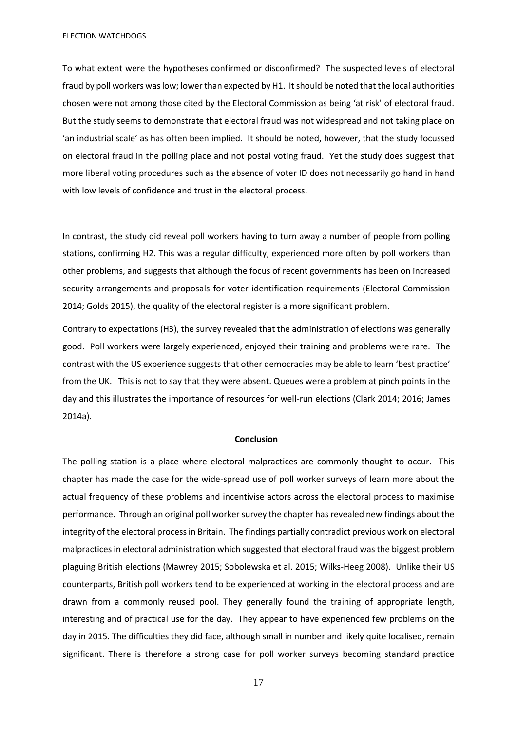To what extent were the hypotheses confirmed or disconfirmed? The suspected levels of electoral fraud by poll workers was low; lower than expected by H1. It should be noted that the local authorities chosen were not among those cited by the Electoral Commission as being 'at risk' of electoral fraud. But the study seems to demonstrate that electoral fraud was not widespread and not taking place on 'an industrial scale' as has often been implied. It should be noted, however, that the study focussed on electoral fraud in the polling place and not postal voting fraud. Yet the study does suggest that more liberal voting procedures such as the absence of voter ID does not necessarily go hand in hand with low levels of confidence and trust in the electoral process.

In contrast, the study did reveal poll workers having to turn away a number of people from polling stations, confirming H2. This was a regular difficulty, experienced more often by poll workers than other problems, and suggests that although the focus of recent governments has been on increased security arrangements and proposals for voter identification requirements (Electoral Commission 2014; Golds 2015), the quality of the electoral register is a more significant problem.

Contrary to expectations (H3), the survey revealed that the administration of elections was generally good. Poll workers were largely experienced, enjoyed their training and problems were rare. The contrast with the US experience suggests that other democracies may be able to learn 'best practice' from the UK. This is not to say that they were absent. Queues were a problem at pinch points in the day and this illustrates the importance of resources for well-run elections (Clark 2014; 2016; James 2014a).

#### **Conclusion**

The polling station is a place where electoral malpractices are commonly thought to occur. This chapter has made the case for the wide-spread use of poll worker surveys of learn more about the actual frequency of these problems and incentivise actors across the electoral process to maximise performance. Through an original poll worker survey the chapter has revealed new findings about the integrity of the electoral process in Britain. The findings partially contradict previous work on electoral malpractices in electoral administration which suggested that electoral fraud was the biggest problem plaguing British elections (Mawrey 2015; Sobolewska et al. 2015; Wilks-Heeg 2008). Unlike their US counterparts, British poll workers tend to be experienced at working in the electoral process and are drawn from a commonly reused pool. They generally found the training of appropriate length, interesting and of practical use for the day. They appear to have experienced few problems on the day in 2015. The difficulties they did face, although small in number and likely quite localised, remain significant. There is therefore a strong case for poll worker surveys becoming standard practice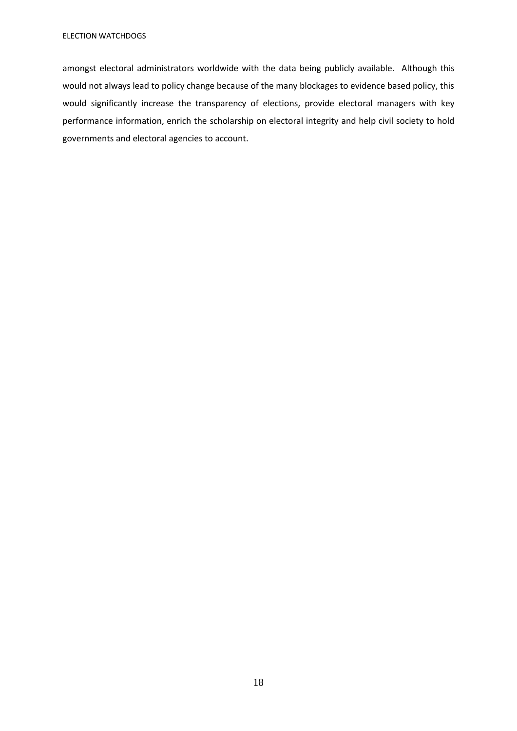amongst electoral administrators worldwide with the data being publicly available. Although this would not always lead to policy change because of the many blockages to evidence based policy, this would significantly increase the transparency of elections, provide electoral managers with key performance information, enrich the scholarship on electoral integrity and help civil society to hold governments and electoral agencies to account.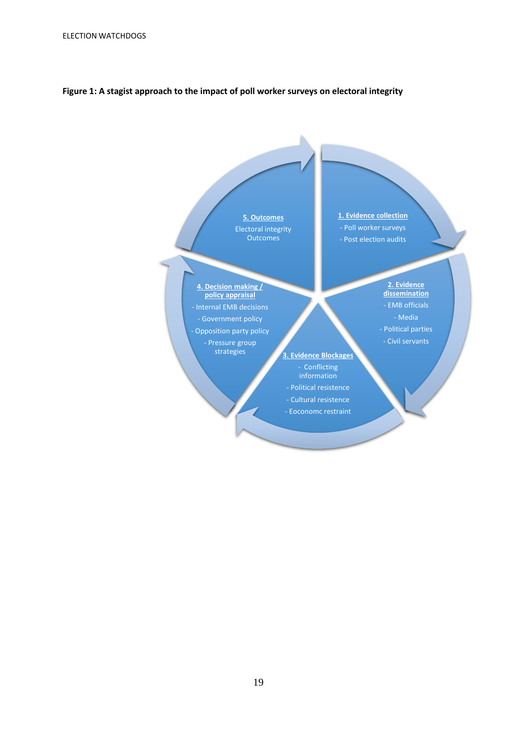## **Figure 1: A stagist approach to the impact of poll worker surveys on electoral integrity**

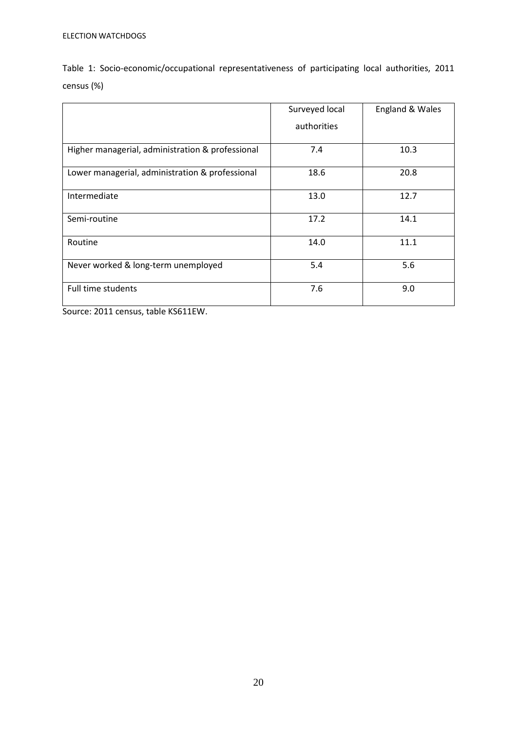| Table 1: Socio-economic/occupational representativeness of participating local authorities, 2011 |  |  |  |  |
|--------------------------------------------------------------------------------------------------|--|--|--|--|
| census (%)                                                                                       |  |  |  |  |

|                                                  | Surveyed local | England & Wales |
|--------------------------------------------------|----------------|-----------------|
|                                                  | authorities    |                 |
| Higher managerial, administration & professional | 7.4            | 10.3            |
| Lower managerial, administration & professional  | 18.6           | 20.8            |
| Intermediate                                     | 13.0           | 12.7            |
| Semi-routine                                     | 17.2           | 14.1            |
| Routine                                          | 14.0           | 11.1            |
| Never worked & long-term unemployed              | 5.4            | 5.6             |
| <b>Full time students</b>                        | 7.6            | 9.0             |

Source: 2011 census, table KS611EW.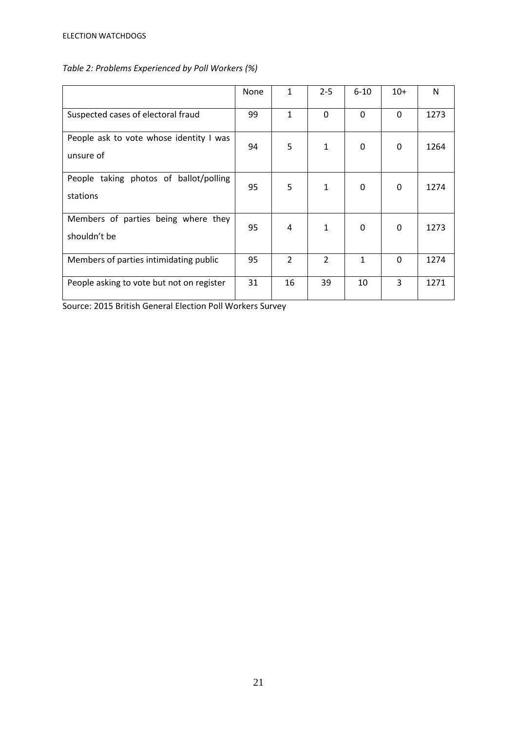| Table 2: Problems Experienced by Poll Workers (%) |  |
|---------------------------------------------------|--|
|---------------------------------------------------|--|

|                                                      | None | 1              | $2 - 5$                  | $6 - 10$     | $10+$    | N    |
|------------------------------------------------------|------|----------------|--------------------------|--------------|----------|------|
| Suspected cases of electoral fraud                   | 99   | $\mathbf{1}$   | $\mathbf{0}$             | 0            | $\Omega$ | 1273 |
| People ask to vote whose identity I was<br>unsure of | 94   | 5              | 1                        | 0            | 0        | 1264 |
| People taking photos of ballot/polling<br>stations   | 95   | 5              | 1                        | $\mathbf{0}$ | 0        | 1274 |
| Members of parties being where they<br>shouldn't be  | 95   | 4              | 1                        | 0            | 0        | 1273 |
| Members of parties intimidating public               | 95   | $\mathfrak{D}$ | $\overline{\phantom{a}}$ | $\mathbf{1}$ | $\Omega$ | 1274 |
| People asking to vote but not on register            | 31   | 16             | 39                       | 10           | 3        | 1271 |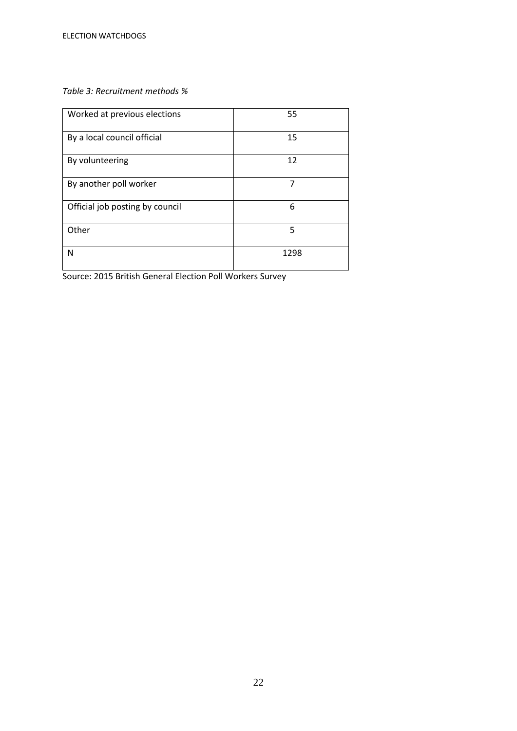## *Table 3: Recruitment methods %*

| Worked at previous elections    | 55   |
|---------------------------------|------|
| By a local council official     | 15   |
| By volunteering                 | 12   |
| By another poll worker          | 7    |
| Official job posting by council | 6    |
| Other                           | 5    |
| N                               | 1298 |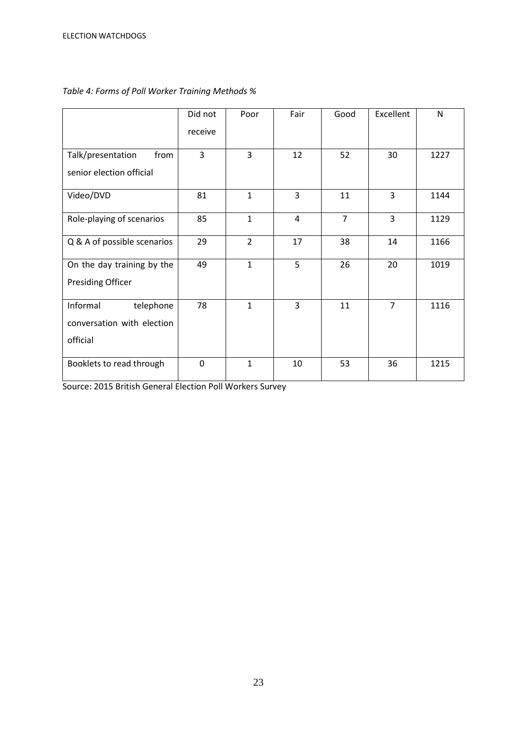|                             | Did not        | Poor           | Fair | Good           | Excellent      | $\mathsf{N}$ |
|-----------------------------|----------------|----------------|------|----------------|----------------|--------------|
|                             | receive        |                |      |                |                |              |
| from<br>Talk/presentation   | $\overline{3}$ | 3              | 12   | 52             | 30             | 1227         |
| senior election official    |                |                |      |                |                |              |
| Video/DVD                   | 81             | $\mathbf{1}$   | 3    | 11             | 3              | 1144         |
| Role-playing of scenarios   | 85             | $\mathbf{1}$   | 4    | $\overline{7}$ | 3              | 1129         |
| Q & A of possible scenarios | 29             | $\overline{2}$ | 17   | 38             | 14             | 1166         |
| On the day training by the  | 49             | $\mathbf{1}$   | 5    | 26             | 20             | 1019         |
| <b>Presiding Officer</b>    |                |                |      |                |                |              |
| Informal<br>telephone       | 78             | $\mathbf{1}$   | 3    | 11             | $\overline{7}$ | 1116         |
| conversation with election  |                |                |      |                |                |              |
| official                    |                |                |      |                |                |              |
| Booklets to read through    | $\mathbf{0}$   | $\mathbf{1}$   | 10   | 53             | 36             | 1215         |

## *Table 4: Forms of Poll Worker Training Methods %*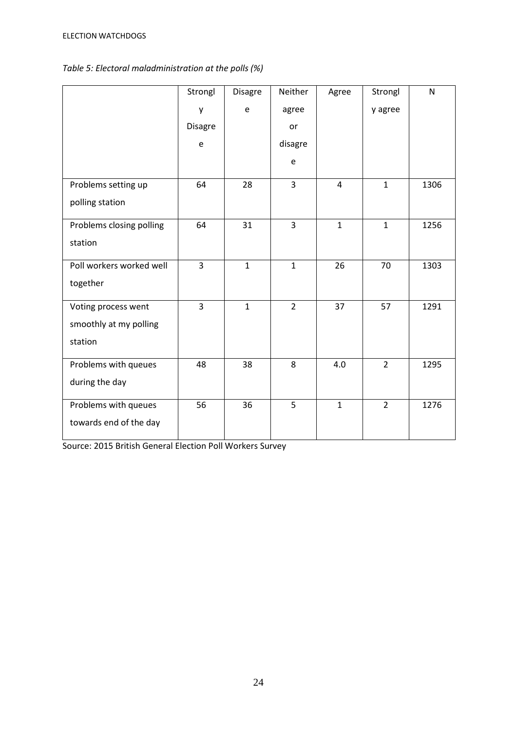# *Table 5: Electoral maladministration at the polls (%)*

|                          | Strongl        | <b>Disagre</b> | Neither        | Agree        | Strongl        | ${\sf N}$ |
|--------------------------|----------------|----------------|----------------|--------------|----------------|-----------|
|                          | y              | e              | agree          |              | y agree        |           |
|                          | <b>Disagre</b> |                | or             |              |                |           |
|                          | e              |                | disagre        |              |                |           |
|                          |                |                | e              |              |                |           |
| Problems setting up      | 64             | 28             | 3              | 4            | $\mathbf{1}$   | 1306      |
| polling station          |                |                |                |              |                |           |
| Problems closing polling | 64             | 31             | $\overline{3}$ | $\mathbf{1}$ | $\mathbf{1}$   | 1256      |
| station                  |                |                |                |              |                |           |
| Poll workers worked well | 3              | $\mathbf{1}$   | $\mathbf{1}$   | 26           | 70             | 1303      |
| together                 |                |                |                |              |                |           |
| Voting process went      | $\overline{3}$ | $\mathbf{1}$   | $\overline{2}$ | 37           | 57             | 1291      |
| smoothly at my polling   |                |                |                |              |                |           |
| station                  |                |                |                |              |                |           |
| Problems with queues     | 48             | 38             | 8              | 4.0          | $\overline{2}$ | 1295      |
| during the day           |                |                |                |              |                |           |
| Problems with queues     | 56             | 36             | 5              | $\mathbf{1}$ | $\overline{2}$ | 1276      |
| towards end of the day   |                |                |                |              |                |           |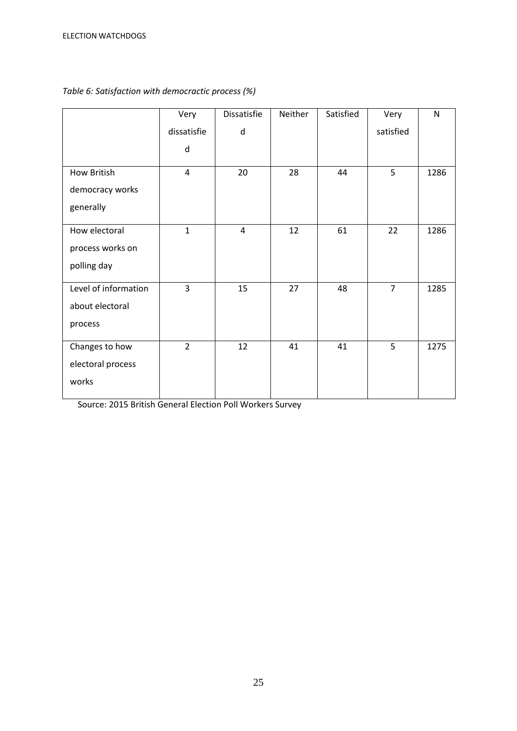|                      | Very           | Dissatisfie | Neither | Satisfied | Very           | $\mathsf{N}$ |
|----------------------|----------------|-------------|---------|-----------|----------------|--------------|
|                      | dissatisfie    | d           |         |           | satisfied      |              |
|                      | d              |             |         |           |                |              |
| <b>How British</b>   | $\overline{4}$ | 20          | 28      | 44        | 5              | 1286         |
| democracy works      |                |             |         |           |                |              |
| generally            |                |             |         |           |                |              |
| How electoral        | $\mathbf{1}$   | 4           | 12      | 61        | 22             | 1286         |
| process works on     |                |             |         |           |                |              |
| polling day          |                |             |         |           |                |              |
| Level of information | $\overline{3}$ | 15          | 27      | 48        | $\overline{7}$ | 1285         |
| about electoral      |                |             |         |           |                |              |
| process              |                |             |         |           |                |              |
| Changes to how       | $\overline{2}$ | 12          | 41      | 41        | 5              | 1275         |
| electoral process    |                |             |         |           |                |              |
| works                |                |             |         |           |                |              |

## *Table 6: Satisfaction with democractic process (%)*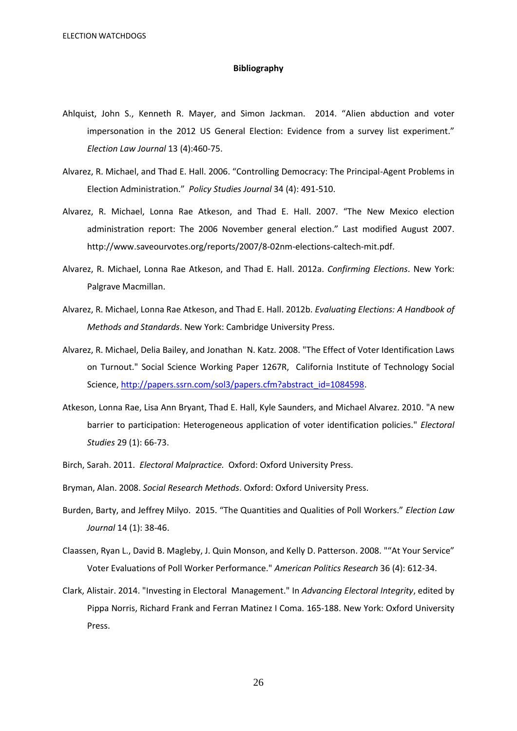#### **Bibliography**

- Ahlquist, John S., Kenneth R. Mayer, and Simon Jackman. 2014. "Alien abduction and voter impersonation in the 2012 US General Election: Evidence from a survey list experiment." *Election Law Journal* 13 (4):460-75.
- Alvarez, R. Michael, and Thad E. Hall. 2006. "Controlling Democracy: The Principal-Agent Problems in Election Administration." *Policy Studies Journal* 34 (4): 491-510.
- Alvarez, R. Michael, Lonna Rae Atkeson, and Thad E. Hall. 2007. "The New Mexico election administration report: The 2006 November general election." Last modified August 2007. http://www.saveourvotes.org/reports/2007/8-02nm-elections-caltech-mit.pdf.
- Alvarez, R. Michael, Lonna Rae Atkeson, and Thad E. Hall. 2012a. *Confirming Elections*. New York: Palgrave Macmillan.
- Alvarez, R. Michael, Lonna Rae Atkeson, and Thad E. Hall. 2012b. *Evaluating Elections: A Handbook of Methods and Standards*. New York: Cambridge University Press.
- Alvarez, R. Michael, Delia Bailey, and Jonathan N. Katz. 2008. "The Effect of Voter Identification Laws on Turnout." Social Science Working Paper 1267R, California Institute of Technology Social Science, [http://papers.ssrn.com/sol3/papers.cfm?abstract\\_id=1084598.](http://papers.ssrn.com/sol3/papers.cfm?abstract_id=1084598)
- Atkeson, Lonna Rae, Lisa Ann Bryant, Thad E. Hall, Kyle Saunders, and Michael Alvarez. 2010. "A new barrier to participation: Heterogeneous application of voter identification policies." *Electoral Studies* 29 (1): 66-73.
- Birch, Sarah. 2011. *Electoral Malpractice.* Oxford: Oxford University Press.
- Bryman, Alan. 2008. *Social Research Methods*. Oxford: Oxford University Press.
- Burden, Barty, and Jeffrey Milyo. 2015. "The Quantities and Qualities of Poll Workers." *Election Law Journal* 14 (1): 38-46.
- Claassen, Ryan L., David B. Magleby, J. Quin Monson, and Kelly D. Patterson. 2008. ""At Your Service" Voter Evaluations of Poll Worker Performance." *American Politics Research* 36 (4): 612-34.
- Clark, Alistair. 2014. "Investing in Electoral Management." In *Advancing Electoral Integrity*, edited by Pippa Norris, Richard Frank and Ferran Matinez I Coma. 165-188. New York: Oxford University Press.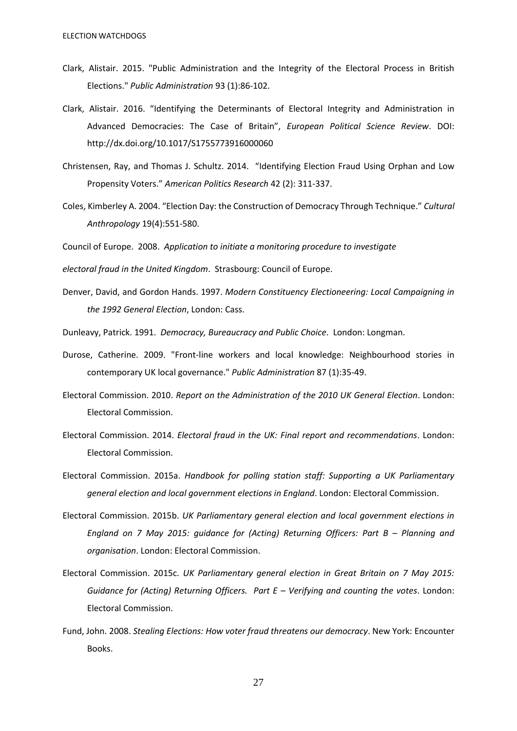- Clark, Alistair. 2015. "Public Administration and the Integrity of the Electoral Process in British Elections." *Public Administration* 93 (1):86-102.
- Clark, Alistair. 2016. "Identifying the Determinants of Electoral Integrity and Administration in Advanced Democracies: The Case of Britain", *European Political Science Review*. DOI: http://dx.doi.org/10.1017/S1755773916000060
- Christensen, Ray, and Thomas J. Schultz. 2014. "Identifying Election Fraud Using Orphan and Low Propensity Voters." *American Politics Research* 42 (2): 311-337.
- Coles, Kimberley A. 2004. "Election Day: the Construction of Democracy Through Technique." *Cultural Anthropology* 19(4):551-580.

Council of Europe. 2008. *Application to initiate a monitoring procedure to investigate*

*electoral fraud in the United Kingdom*. Strasbourg: Council of Europe.

Denver, David, and Gordon Hands. 1997. *Modern Constituency Electioneering: Local Campaigning in the 1992 General Election*, London: Cass.

Dunleavy, Patrick. 1991. *Democracy, Bureaucracy and Public Choice*. London: Longman.

- Durose, Catherine. 2009. "Front-line workers and local knowledge: Neighbourhood stories in contemporary UK local governance." *Public Administration* 87 (1):35-49.
- Electoral Commission. 2010. *Report on the Administration of the 2010 UK General Election*. London: Electoral Commission.
- Electoral Commission. 2014. *Electoral fraud in the UK: Final report and recommendations*. London: Electoral Commission.
- Electoral Commission. 2015a. *Handbook for polling station staff: Supporting a UK Parliamentary general election and local government elections in England*. London: Electoral Commission.
- Electoral Commission. 2015b. *UK Parliamentary general election and local government elections in England on 7 May 2015: guidance for (Acting) Returning Officers: Part B - Planning and organisation*. London: Electoral Commission.
- Electoral Commission. 2015c. *UK Parliamentary general election in Great Britain on 7 May 2015: Guidance for (Acting) Returning Officers. Part E – Verifying and counting the votes. London:* Electoral Commission.
- Fund, John. 2008. *Stealing Elections: How voter fraud threatens our democracy*. New York: Encounter Books.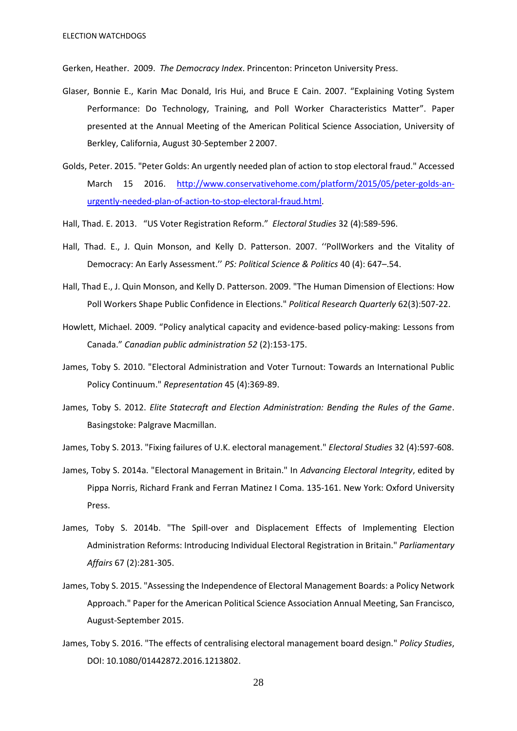Gerken, Heather. 2009. *The Democracy Index*. Princenton: Princeton University Press.

- Glaser, Bonnie E., Karin Mac Donald, Iris Hui, and Bruce E Cain. 2007. "Explaining Voting System Performance: Do Technology, Training, and Poll Worker Characteristics Matter". Paper presented at the Annual Meeting of the American Political Science Association, University of Berkley, California, August 30\_ September 2 2007.
- Golds, Peter. 2015. "Peter Golds: An urgently needed plan of action to stop electoral fraud." Accessed March 15 2016. [http://www.conservativehome.com/platform/2015/05/peter-golds-an](http://www.conservativehome.com/platform/2015/05/peter-golds-an-urgently-needed-plan-of-action-to-stop-electoral-fraud.html)[urgently-needed-plan-of-action-to-stop-electoral-fraud.html.](http://www.conservativehome.com/platform/2015/05/peter-golds-an-urgently-needed-plan-of-action-to-stop-electoral-fraud.html)
- Hall, Thad. E. 2013. "US Voter Registration Reform." *Electoral Studies* 32 (4):589-596.
- Hall, Thad. E., J. Quin Monson, and Kelly D. Patterson. 2007. ''PollWorkers and the Vitality of Democracy: An Early Assessment.'' *PS: Political Science & Politics* 40 (4): 647–.54.
- Hall, Thad E., J. Quin Monson, and Kelly D. Patterson. 2009. "The Human Dimension of Elections: How Poll Workers Shape Public Confidence in Elections." *Political Research Quarterly* 62(3):507-22.
- Howlett, Michael. 2009. "Policy analytical capacity and evidence-based policy-making: Lessons from Canada." *Canadian public administration 52* (2):153-175.
- James, Toby S. 2010. "Electoral Administration and Voter Turnout: Towards an International Public Policy Continuum." *Representation* 45 (4):369-89.
- James, Toby S. 2012. *Elite Statecraft and Election Administration: Bending the Rules of the Game*. Basingstoke: Palgrave Macmillan.
- James, Toby S. 2013. "Fixing failures of U.K. electoral management." *Electoral Studies* 32 (4):597-608.
- James, Toby S. 2014a. "Electoral Management in Britain." In *Advancing Electoral Integrity*, edited by Pippa Norris, Richard Frank and Ferran Matinez I Coma. 135-161. New York: Oxford University Press.
- James, Toby S. 2014b. "The Spill-over and Displacement Effects of Implementing Election Administration Reforms: Introducing Individual Electoral Registration in Britain." *Parliamentary Affairs* 67 (2):281-305.
- James, Toby S. 2015. "Assessing the Independence of Electoral Management Boards: a Policy Network Approach." Paper for the American Political Science Association Annual Meeting, San Francisco, August-September 2015.
- James, Toby S. 2016. "The effects of centralising electoral management board design." *Policy Studies*, DOI: 10.1080/01442872.2016.1213802.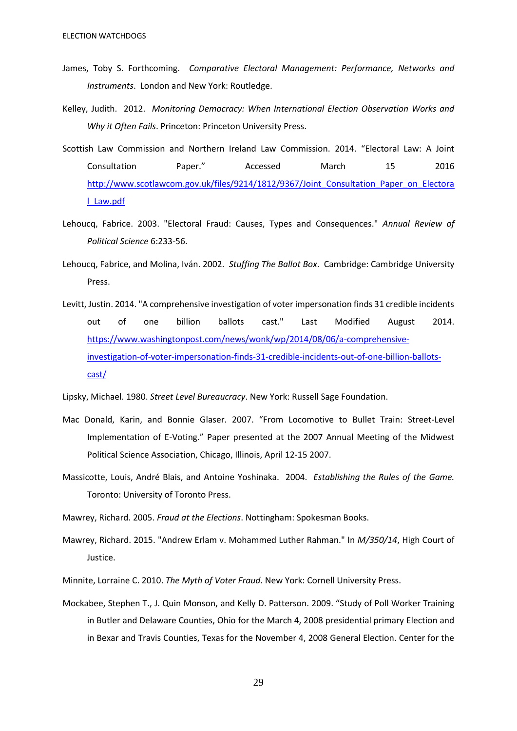- James, Toby S. Forthcoming. *Comparative Electoral Management: Performance, Networks and Instruments*. London and New York: Routledge.
- Kelley, Judith. 2012. *Monitoring Democracy: When International Election Observation Works and Why it Often Fails*. Princeton: Princeton University Press.
- Scottish Law Commission and Northern Ireland Law Commission. 2014. "Electoral Law: A Joint Consultation Paper." Accessed March 15 2016 [http://www.scotlawcom.gov.uk/files/9214/1812/9367/Joint\\_Consultation\\_Paper\\_on\\_Electora](http://www.scotlawcom.gov.uk/files/9214/1812/9367/Joint_Consultation_Paper_on_Electoral_Law.pdf) [l\\_Law.pdf](http://www.scotlawcom.gov.uk/files/9214/1812/9367/Joint_Consultation_Paper_on_Electoral_Law.pdf)
- Lehoucq, Fabrice. 2003. "Electoral Fraud: Causes, Types and Consequences." *Annual Review of Political Science* 6:233-56.
- Lehoucq, Fabrice, and Molina, Iván. 2002. *Stuffing The Ballot Box*. Cambridge: Cambridge University Press.
- Levitt, Justin. 2014. "A comprehensive investigation of voter impersonation finds 31 credible incidents out of one billion ballots cast." Last Modified August 2014. [https://www.washingtonpost.com/news/wonk/wp/2014/08/06/a-comprehensive](https://www.washingtonpost.com/news/wonk/wp/2014/08/06/a-comprehensive-investigation-of-voter-impersonation-finds-31-credible-incidents-out-of-one-billion-ballots-cast/)[investigation-of-voter-impersonation-finds-31-credible-incidents-out-of-one-billion-ballots](https://www.washingtonpost.com/news/wonk/wp/2014/08/06/a-comprehensive-investigation-of-voter-impersonation-finds-31-credible-incidents-out-of-one-billion-ballots-cast/)[cast/](https://www.washingtonpost.com/news/wonk/wp/2014/08/06/a-comprehensive-investigation-of-voter-impersonation-finds-31-credible-incidents-out-of-one-billion-ballots-cast/)

Lipsky, Michael. 1980. *Street Level Bureaucracy*. New York: Russell Sage Foundation.

- Mac Donald, Karin, and Bonnie Glaser. 2007. "From Locomotive to Bullet Train: Street-Level Implementation of E-Voting." Paper presented at the 2007 Annual Meeting of the Midwest Political Science Association, Chicago, Illinois, April 12-15 2007.
- Massicotte, Louis, André Blais, and Antoine Yoshinaka. 2004. *Establishing the Rules of the Game.* Toronto: University of Toronto Press.
- Mawrey, Richard. 2005. *Fraud at the Elections*. Nottingham: Spokesman Books.
- Mawrey, Richard. 2015. "Andrew Erlam v. Mohammed Luther Rahman." In *M/350/14*, High Court of Justice.
- Minnite, Lorraine C. 2010. *The Myth of Voter Fraud*. New York: Cornell University Press.
- Mockabee, Stephen T., J. Quin Monson, and Kelly D. Patterson. 2009. "Study of Poll Worker Training in Butler and Delaware Counties, Ohio for the March 4, 2008 presidential primary Election and in Bexar and Travis Counties, Texas for the November 4, 2008 General Election. Center for the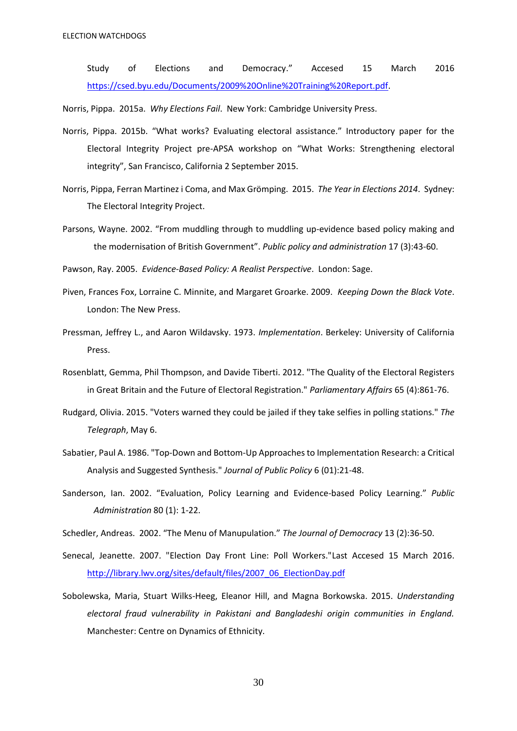Study of Elections and Democracy." Accesed 15 March 2016 [https://csed.byu.edu/Documents/2009%20Online%20Training%20Report.pdf.](https://csed.byu.edu/Documents/2009%20Online%20Training%20Report.pdf)

Norris, Pippa. 2015a. *Why Elections Fail*. New York: Cambridge University Press.

- Norris, Pippa. 2015b. "What works? Evaluating electoral assistance." Introductory paper for the Electoral Integrity Project pre-APSA workshop on "What Works: Strengthening electoral integrity", San Francisco, California 2 September 2015.
- Norris, Pippa, Ferran Martinez i Coma, and Max Grömping. 2015. *The Year in Elections 2014*. Sydney: The Electoral Integrity Project.
- Parsons, Wayne. 2002. "From muddling through to muddling up-evidence based policy making and the modernisation of British Government". *Public policy and administration* 17 (3):43-60.

Pawson, Ray. 2005. *Evidence-Based Policy: A Realist Perspective*. London: Sage.

- Piven, Frances Fox, Lorraine C. Minnite, and Margaret Groarke. 2009. *Keeping Down the Black Vote*. London: The New Press.
- Pressman, Jeffrey L., and Aaron Wildavsky. 1973. *Implementation*. Berkeley: University of California Press.
- Rosenblatt, Gemma, Phil Thompson, and Davide Tiberti. 2012. "The Quality of the Electoral Registers in Great Britain and the Future of Electoral Registration." *Parliamentary Affairs* 65 (4):861-76.
- Rudgard, Olivia. 2015. "Voters warned they could be jailed if they take selfies in polling stations." *The Telegraph*, May 6.
- Sabatier, Paul A. 1986. "Top-Down and Bottom-Up Approaches to Implementation Research: a Critical Analysis and Suggested Synthesis." *Journal of Public Policy* 6 (01):21-48.
- Sanderson, Ian. 2002. "Evaluation, Policy Learning and Evidence-based Policy Learning." *Public Administration* 80 (1): 1-22.

Schedler, Andreas. 2002. "The Menu of Manupulation." *The Journal of Democracy* 13 (2):36-50.

- Senecal, Jeanette. 2007. "Election Day Front Line: Poll Workers."Last Accesed 15 March 2016. [http://library.lwv.org/sites/default/files/2007\\_06\\_ElectionDay.pdf](http://library.lwv.org/sites/default/files/2007_06_ElectionDay.pdf)
- Sobolewska, Maria, Stuart Wilks-Heeg, Eleanor Hill, and Magna Borkowska. 2015. *Understanding electoral fraud vulnerability in Pakistani and Bangladeshi origin communities in England.*  Manchester: Centre on Dynamics of Ethnicity.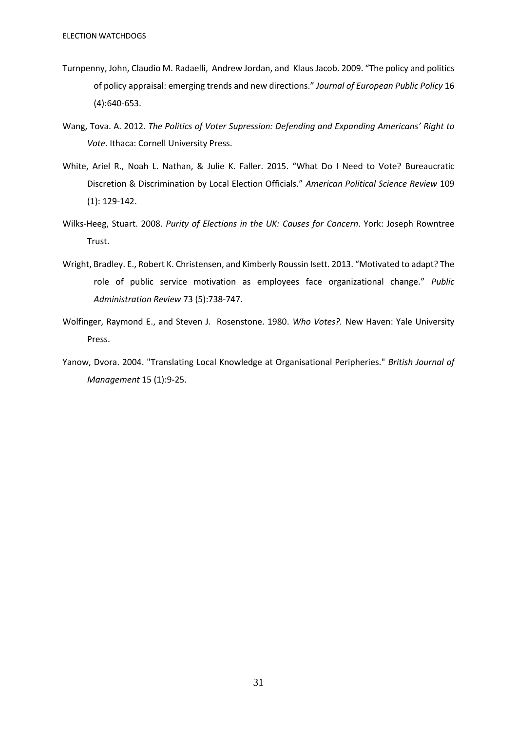- Turnpenny, John, Claudio M. Radaelli, Andrew Jordan, and Klaus Jacob. 2009. "The policy and politics of policy appraisal: emerging trends and new directions." *Journal of European Public Policy* 16 (4):640-653.
- Wang, Tova. A. 2012. *The Politics of Voter Supression: Defending and Expanding Americans' Right to Vote*. Ithaca: Cornell University Press.
- White, Ariel R., Noah L. Nathan, & Julie K. Faller. 2015. "What Do I Need to Vote? Bureaucratic Discretion & Discrimination by Local Election Officials." *American Political Science Review* 109 (1): 129-142.
- Wilks-Heeg, Stuart. 2008. *Purity of Elections in the UK: Causes for Concern*. York: Joseph Rowntree Trust.
- Wright, Bradley. E., Robert K. Christensen, and Kimberly Roussin Isett. 2013. "Motivated to adapt? The role of public service motivation as employees face organizational change." *Public Administration Review* 73 (5):738-747.
- Wolfinger, Raymond E., and Steven J. Rosenstone. 1980. *Who Votes?.* New Haven: Yale University Press.
- Yanow, Dvora. 2004. "Translating Local Knowledge at Organisational Peripheries." *British Journal of Management* 15 (1):9-25.